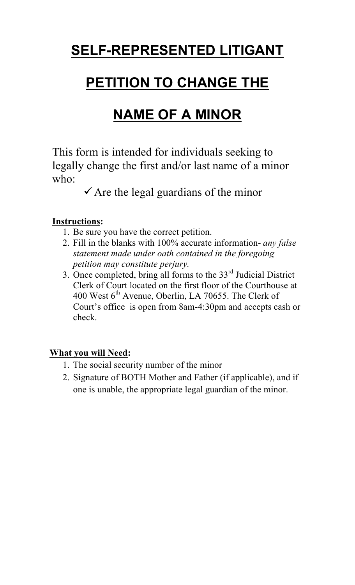# **SELF-REPRESENTED LITIGANT**

# **PETITION TO CHANGE THE**

# **NAME OF A MINOR**

This form is intended for individuals seeking to legally change the first and/or last name of a minor who:

 $\checkmark$  Are the legal guardians of the minor

# **Instructions:**

- 1. Be sure you have the correct petition.
- 2. Fill in the blanks with 100% accurate information- *any false statement made under oath contained in the foregoing petition may constitute perjury.*
- 3. Once completed, bring all forms to the  $33<sup>rd</sup>$  Judicial District Clerk of Court located on the first floor of the Courthouse at 400 West 6<sup>th</sup> Avenue, Oberlin, LA 70655. The Clerk of Court's office is open from 8am-4:30pm and accepts cash or check.

# **What you will Need:**

- 1. The social security number of the minor
- 2. Signature of BOTH Mother and Father (if applicable), and if one is unable, the appropriate legal guardian of the minor.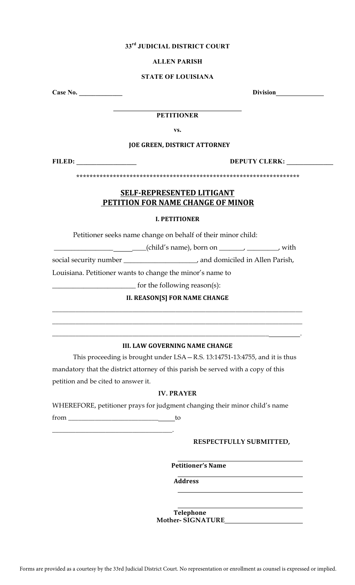# **33rd JUDICIAL DISTRICT COURT**

### **ALLEN PARISH**

#### **STATE OF LOUISIANA**

**Case No. \_\_\_\_\_\_\_\_\_\_\_\_\_ Division**

#### $\mathcal{L}_\text{max}$  , where  $\mathcal{L}_\text{max}$  and  $\mathcal{L}_\text{max}$  and  $\mathcal{L}_\text{max}$ **PETITIONER**

**vs.** 

# **JOE GREEN, DISTRICT ATTORNEY**

**FILED: \_\_\_\_\_\_\_\_\_\_\_\_\_\_\_\_\_\_ DEPUTY CLERK: \_\_\_\_\_\_\_\_\_\_\_\_\_\_**

**\*\*\*\*\*\*\*\*\*\*\*\*\*\*\*\*\*\*\*\*\*\*\*\*\*\*\*\*\*\*\*\*\*\*\*\*\*\*\*\*\*\*\*\*\*\*\*\*\*\*\*\*\*\*\*\*\*\*\*\*\*\*\*\*\*\*\***

# **SELF-REPRESENTED LITIGANT PETITION FOR NAME CHANGE OF MINOR**

# **I. PETITIONER**

Petitioner seeks name change on behalf of their minor child:

\_\_\_\_\_\_\_\_\_\_\_\_\_\_\_\_\_ \_\_\_\_(child's name), born on \_\_\_\_\_\_\_, \_\_\_\_\_\_\_\_\_, with

social security number \_\_\_\_\_\_\_\_\_\_\_\_\_\_\_\_\_\_\_\_\_, and domiciled in Allen Parish,

Louisiana. Petitioner wants to change the minor's name to

\_\_\_\_\_\_\_\_\_\_\_\_\_\_\_\_\_\_\_\_\_\_\_\_ for the following reason(s):

**II. REASON[S] FOR NAME CHANGE** \_\_\_\_\_\_\_\_\_\_\_\_\_\_\_\_\_\_\_\_\_\_\_\_\_\_\_\_\_\_\_\_\_\_\_\_\_\_\_\_\_\_\_\_\_\_\_\_\_\_\_\_\_\_\_\_\_\_\_\_\_\_\_\_\_\_\_\_\_\_\_\_\_\_\_

\_\_\_\_\_\_\_\_\_\_\_\_\_\_\_\_\_\_\_\_\_\_\_\_\_\_\_\_\_\_\_\_\_\_\_\_\_\_\_\_\_\_\_\_\_\_\_\_\_\_\_\_\_\_\_\_\_\_\_\_\_\_\_\_\_\_\_\_\_\_\_\_\_\_\_

### **III. LAW GOVERNING NAME CHANGE**

\_\_\_\_\_\_\_\_\_\_\_\_\_\_\_\_\_\_\_\_\_\_\_\_\_\_\_\_\_\_\_\_\_\_\_\_\_\_\_\_\_\_\_\_\_\_\_\_\_\_\_\_\_\_\_\_\_\_\_\_\_\_\_\_\_ .

This proceeding is brought under LSA—R.S. 13:14751-13:4755, and it is thus mandatory that the district attorney of this parish be served with a copy of this petition and be cited to answer it.

# **IV. PRAYER**

WHEREFORE, petitioner prays for judgment changing their minor child's name

from \_\_\_\_\_\_\_\_\_\_\_\_\_\_\_\_\_\_\_\_\_\_\_\_\_\_\_ to

\_\_\_\_\_\_\_\_\_\_\_\_\_\_\_\_\_\_\_\_\_\_\_\_\_\_\_\_\_\_\_\_\_\_\_\_.

# **RESPECTFULLY SUBMITTED,**

**Petitioner's Name**

**Address** 

**Telephone Mother- SIGNATURE**